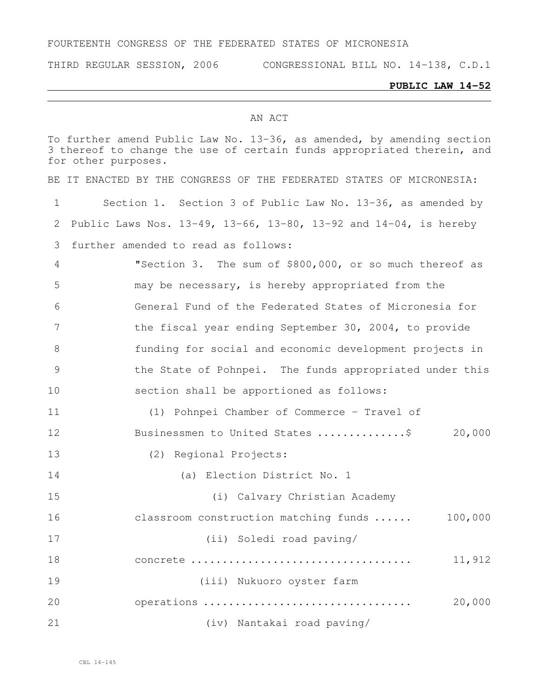#### FOURTEENTH CONGRESS OF THE FEDERATED STATES OF MICRONESIA

THIRD REGULAR SESSION, 2006 CONGRESSIONAL BILL NO. 14-138, C.D.1

#### **PUBLIC LAW 14-52**

#### AN ACT

To further amend Public Law No. 13-36, as amended, by amending section 3 thereof to change the use of certain funds appropriated therein, and for other purposes.

BE IT ENACTED BY THE CONGRESS OF THE FEDERATED STATES OF MICRONESIA:

 Section 1. Section 3 of Public Law No. 13-36, as amended by Public Laws Nos. 13-49, 13-66, 13-80, 13-92 and 14-04, is hereby further amended to read as follows: "Section 3. The sum of \$800,000, or so much thereof as

 may be necessary, is hereby appropriated from the General Fund of the Federated States of Micronesia for 7 the fiscal year ending September 30, 2004, to provide funding for social and economic development projects in the State of Pohnpei. The funds appropriated under this section shall be apportioned as follows:

 (1) Pohnpei Chamber of Commerce – Travel of 12 Businessmen to United States ................... 20,000 (2) Regional Projects:

(a) Election District No. 1

| 15 | (i) Calvary Christian Academy         |         |
|----|---------------------------------------|---------|
| 16 | classroom construction matching funds | 100,000 |
| 17 | (ii) Soledi road paving/              |         |
| 18 |                                       | 11,912  |
| 19 | (iii) Nukuoro oyster farm             |         |
| 20 | operations                            | 20,000  |
| 21 | (iv) Nantakai road paving/            |         |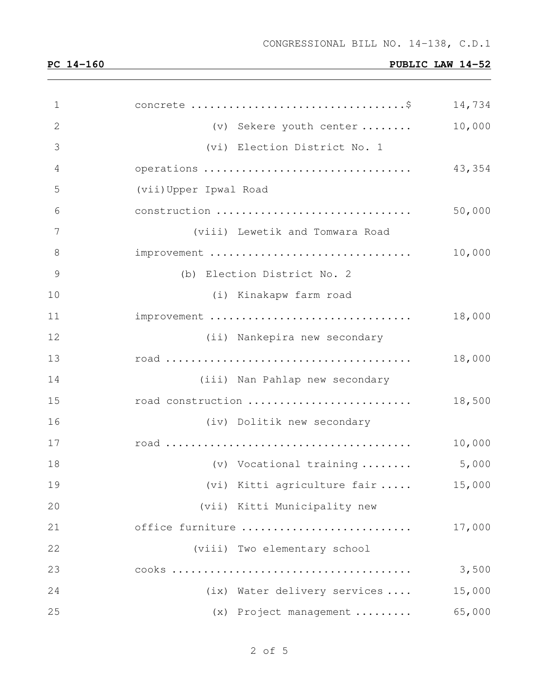| $\mathbf 1$     |                                 | 14,734 |
|-----------------|---------------------------------|--------|
| 2               | (v) Sekere youth center         | 10,000 |
| 3               | (vi) Election District No. 1    |        |
| 4               | operations                      | 43,354 |
| 5               | (vii) Upper Ipwal Road          |        |
| 6               | construction                    | 50,000 |
| $7\phantom{.0}$ | (viii) Lewetik and Tomwara Road |        |
| $8\,$           | improvement                     | 10,000 |
| $\mathcal{G}$   | (b) Election District No. 2     |        |
| 10              | (i) Kinakapw farm road          |        |
| 11              | improvement                     | 18,000 |
| 12              | (ii) Nankepira new secondary    |        |
| 13              |                                 | 18,000 |
| 14              | (iii) Nan Pahlap new secondary  |        |
| 15              | road construction               | 18,500 |
| 16              | (iv) Dolitik new secondary      |        |
| 17              |                                 | 10,000 |
| 18              | (v) Vocational training         | 5,000  |
| 19              | (vi) Kitti agriculture fair     | 15,000 |
| 20              | (vii) Kitti Municipality new    |        |
| 21              | office furniture                | 17,000 |
| 22              | (viii) Two elementary school    |        |
| 23              |                                 | 3,500  |
| 24              | (ix) Water delivery services    | 15,000 |
| 25              | (x) Project management          | 65,000 |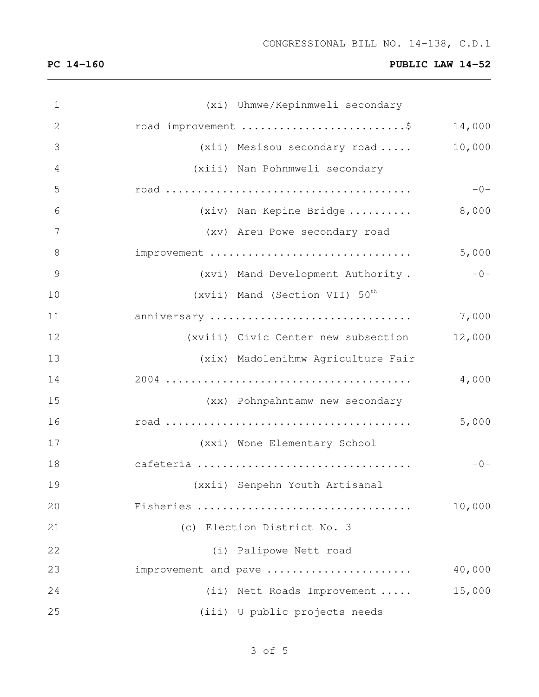| $\mathbf 1$    | (xi) Uhmwe/Kepinmweli secondary            |        |
|----------------|--------------------------------------------|--------|
| $\mathbf{2}$   | road improvement \$                        | 14,000 |
| 3              | $(xii)$ Mesisou secondary road             | 10,000 |
| $\overline{4}$ | (xiii) Nan Pohnmweli secondary             |        |
| 5              |                                            | $-0-$  |
| 6              | (xiv) Nan Kepine Bridge                    | 8,000  |
| 7              | (xv) Areu Powe secondary road              |        |
| 8              | improvement                                | 5,000  |
| 9              | (xvi) Mand Development Authority.          | $-0-$  |
| 10             | (xvii) Mand (Section VII) 50 <sup>th</sup> |        |
| 11             | anniversary                                | 7,000  |
| 12             | (xviii) Civic Center new subsection        | 12,000 |
| 13             | (xix) Madolenihmw Agriculture Fair         |        |
| 14             |                                            | 4,000  |
| 15             | (xx) Pohnpahntamw new secondary            |        |
| 16             |                                            | 5,000  |
| 17             | (xxi) Wone Elementary School               |        |
| 18             | cafeteria                                  | $-0-$  |
| 19             | (xxii) Senpehn Youth Artisanal             |        |
| 20             | Fisheries                                  | 10,000 |
| 21             | (c) Election District No. 3                |        |
| 22             | (i) Palipowe Nett road                     |        |
| 23             | improvement and pave                       | 40,000 |
| 24             | (ii) Nett Roads Improvement                | 15,000 |
| 25             | (iii) U public projects needs              |        |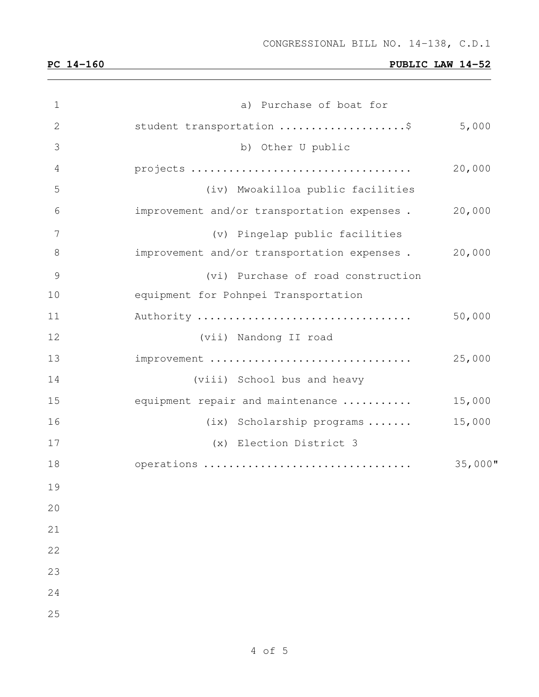| $\mathbf 1$   | a) Purchase of boat for                     |            |
|---------------|---------------------------------------------|------------|
| 2             | student transportation \$                   | 5,000      |
| 3             | b) Other U public                           |            |
| 4             |                                             | 20,000     |
| 5             | (iv) Mwoakilloa public facilities           |            |
| 6             | improvement and/or transportation expenses. | 20,000     |
| 7             | (v) Pingelap public facilities              |            |
| 8             | improvement and/or transportation expenses. | 20,000     |
| $\mathcal{G}$ | (vi) Purchase of road construction          |            |
| 10            | equipment for Pohnpei Transportation        |            |
| 11            | Authority                                   | 50,000     |
| 12            | (vii) Nandong II road                       |            |
| 13            | improvement                                 | 25,000     |
| 14            | (viii) School bus and heavy                 |            |
| 15            | equipment repair and maintenance            | 15,000     |
| 16            | (ix) Scholarship programs                   | 15,000     |
| 17            | (x) Election District 3                     |            |
| 18            | operations                                  | $35,000$ " |
| 19            |                                             |            |
| 20            |                                             |            |
| 21            |                                             |            |
| 22            |                                             |            |
| 23            |                                             |            |
| 24            |                                             |            |
| 25            |                                             |            |